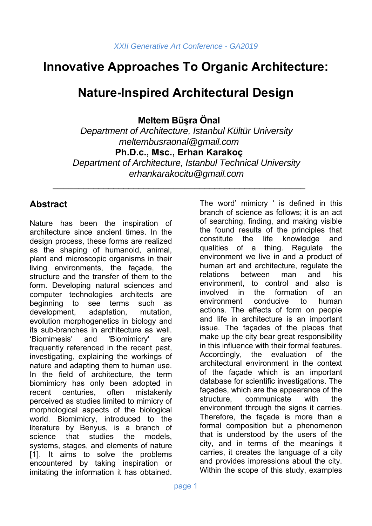# **Innovative Approaches To Organic Architecture:**

# **Nature-Inspired Architectural Design**

**Meltem Büşra Önal** 

*Department of Architecture, Istanbul Kültür University meltembusraonal@gmail.com*  **Ph.D.c., Msc., Erhan Karakoç** 

*Department of Architecture, Istanbul Technical University erhankarakocitu@gmail.com* 

\_\_\_\_\_\_\_\_\_\_\_\_\_\_\_\_\_\_\_\_\_\_\_\_\_\_\_\_\_\_\_\_\_\_\_\_\_\_\_\_\_\_\_\_\_\_\_\_\_\_

### **Abstract**

Nature has been the inspiration of architecture since ancient times. In the design process, these forms are realized as the shaping of humanoid, animal, plant and microscopic organisms in their living environments, the façade, the structure and the transfer of them to the form. Developing natural sciences and computer technologies architects are beginning to see terms such as development, adaptation, mutation, evolution morphogenetics in biology and its sub-branches in architecture as well. 'Biomimesis' and 'Biomimicry' are frequently referenced in the recent past, investigating, explaining the workings of nature and adapting them to human use. In the field of architecture, the term biomimicry has only been adopted in recent centuries, often mistakenly perceived as studies limited to mimicry of morphological aspects of the biological world. Biomimicry, introduced to the literature by Benyus, is a branch of science that studies the models systems, stages, and elements of nature [1]. It aims to solve the problems encountered by taking inspiration or imitating the information it has obtained.

The word' mimicry ' is defined in this branch of science as follows; it is an act of searching, finding, and making visible the found results of the principles that constitute the life knowledge and qualities of a thing. Regulate the environment we live in and a product of human art and architecture, regulate the relations between man and his environment, to control and also is involved in the formation of an environment conducive to human actions. The effects of form on people and life in architecture is an important issue. The façades of the places that make up the city bear great responsibility in this influence with their formal features. Accordingly, the evaluation of the architectural environment in the context of the façade which is an important database for scientific investigations. The façades, which are the appearance of the structure, communicate with the environment through the signs it carries. Therefore, the façade is more than a formal composition but a phenomenon that is understood by the users of the city, and in terms of the meanings it carries, it creates the language of a city and provides impressions about the city. Within the scope of this study, examples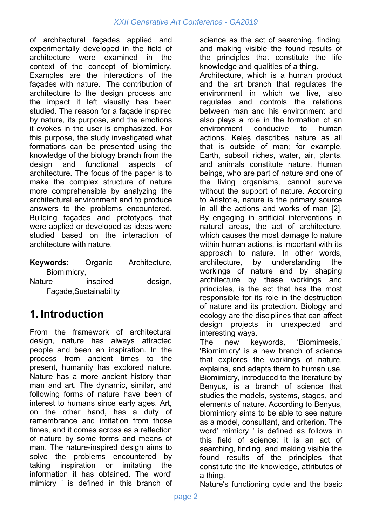of architectural façades applied and experimentally developed in the field of architecture were examined in the context of the concept of biomimicry. Examples are the interactions of the façades with nature. The contribution of architecture to the design process and the impact it left visually has been studied. The reason for a façade inspired by nature, its purpose, and the emotions it evokes in the user is emphasized. For this purpose, the study investigated what formations can be presented using the knowledge of the biology branch from the design and functional aspects of architecture. The focus of the paper is to make the complex structure of nature more comprehensible by analyzing the architectural environment and to produce answers to the problems encountered. Building façades and prototypes that were applied or developed as ideas were studied based on the interaction of architecture with nature.

| Keywords:   | Organic | Architecture, |
|-------------|---------|---------------|
| Biomimicry, |         |               |

Nature inspired design, Façade,Sustainability

# **1. Introduction**

From the framework of architectural design, nature has always attracted people and been an inspiration. In the process from ancient times to the present, humanity has explored nature. Nature has a more ancient history than man and art. The dynamic, similar, and following forms of nature have been of interest to humans since early ages. Art, on the other hand, has a duty of remembrance and imitation from those times, and it comes across as a reflection of nature by some forms and means of man. The nature-inspired design aims to solve the problems encountered by taking inspiration or imitating the information it has obtained. The word' mimicry ' is defined in this branch of and making visible the found results of the principles that constitute the life knowledge and qualities of a thing. Architecture, which is a human product and the art branch that regulates the environment in which we live, also regulates and controls the relations between man and his environment and also plays a role in the formation of an environment conducive to human actions. Keleş describes nature as all that is outside of man; for example, Earth, subsoil riches, water, air, plants, and animals constitute nature. Human beings, who are part of nature and one of the living organisms, cannot survive without the support of nature. According to Aristotle, nature is the primary source in all the actions and works of man [2]. By engaging in artificial interventions in natural areas, the act of architecture, which causes the most damage to nature within human actions, is important with its approach to nature. In other words, architecture, by understanding the workings of nature and by shaping architecture by these workings and principles, is the act that has the most responsible for its role in the destruction of nature and its protection. Biology and ecology are the disciplines that can affect design projects in unexpected and interesting ways.

science as the act of searching, finding,

The new keywords, 'Biomimesis,' 'Biomimicry' is a new branch of science that explores the workings of nature, explains, and adapts them to human use. Biomimicry, introduced to the literature by Benyus, is a branch of science that studies the models, systems, stages, and elements of nature. According to Benyus, biomimicry aims to be able to see nature as a model, consultant, and criterion. The word' mimicry ' is defined as follows in this field of science; it is an act of searching, finding, and making visible the found results of the principles that constitute the life knowledge, attributes of a thing.

Nature's functioning cycle and the basic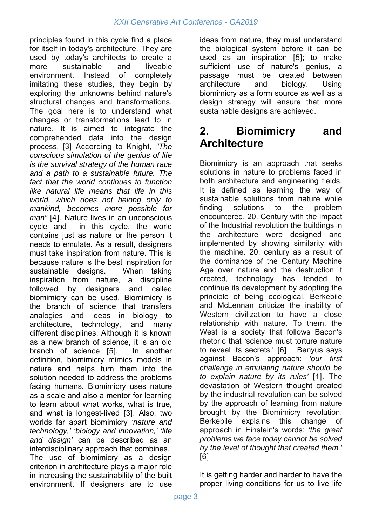principles found in this cycle find a place for itself in today's architecture. They are used by today's architects to create a more sustainable and liveable environment. Instead of completely imitating these studies, they begin by exploring the unknowns behind nature's structural changes and transformations. The goal here is to understand what changes or transformations lead to in nature. It is aimed to integrate the comprehended data into the design process. [3] According to Knight, *"The conscious simulation of the genius of life is the survival strategy of the human race and a path to a sustainable future. The fact that the world continues to function like natural life means that life in this world, which does not belong only to mankind, becomes more possible for man"* [4]. Nature lives in an unconscious cycle and in this cycle, the world contains just as nature or the person it needs to emulate. As a result, designers must take inspiration from nature. This is because nature is the best inspiration for sustainable designs. When taking inspiration from nature, a discipline followed by designers and called biomimicry can be used. Biomimicry is the branch of science that transfers analogies and ideas in biology to architecture, technology, and many different disciplines. Although it is known as a new branch of science, it is an old branch of science [5]. In another definition, biomimicry mimics models in nature and helps turn them into the solution needed to address the problems facing humans. Biomimicry uses nature as a scale and also a mentor for learning to learn about what works, what is true, and what is longest-lived [3]. Also, two worlds far apart biomimicry *'nature and technology,' 'biology and innovation,' 'life and design'* can be described as an interdisciplinary approach that combines. The use of biomimicry as a design criterion in architecture plays a major role in increasing the sustainability of the built environment. If designers are to use

ideas from nature, they must understand the biological system before it can be used as an inspiration [5]; to make sufficient use of nature's genius, a passage must be created between architecture and biology. Using biomimicry as a form source as well as a design strategy will ensure that more sustainable designs are achieved.

# **2. Biomimicry and Architecture**

Biomimicry is an approach that seeks solutions in nature to problems faced in both architecture and engineering fields. It is defined as learning the way of sustainable solutions from nature while finding solutions to the problem encountered. 20. Century with the impact of the Industrial revolution the buildings in the architecture were designed and implemented by showing similarity with the machine. 20. century as a result of the dominance of the Century Machine Age over nature and the destruction it created, technology has tended to continue its development by adopting the principle of being ecological. Berkebile and McLennan criticize the inability of Western civilization to have a close relationship with nature. To them, the West is a society that follows Bacon's rhetoric that 'science must torture nature to reveal its secrets.' [6] Benyus says against Bacon's approach: *'our first challenge in emulating nature should be to explain nature by its rules'* [1]. The devastation of Western thought created by the industrial revolution can be solved by the approach of learning from nature brought by the Biomimicry revolution. Berkebile explains this change of approach in Einstein's words: *'the great problems we face today cannot be solved by the level of thought that created them.'* [6]

It is getting harder and harder to have the proper living conditions for us to live life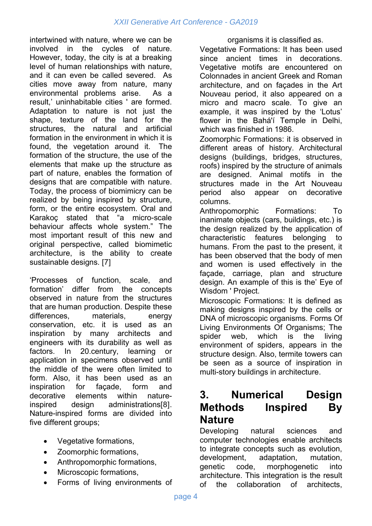intertwined with nature, where we can be involved in the cycles of nature. However, today, the city is at a breaking level of human relationships with nature, and it can even be called severed. As cities move away from nature, many environmental problems arise. As a result,' uninhabitable cities ' are formed. Adaptation to nature is not just the shape, texture of the land for the structures, the natural and artificial formation in the environment in which it is found, the vegetation around it. The formation of the structure, the use of the elements that make up the structure as part of nature, enables the formation of designs that are compatible with nature. Today, the process of biomimicry can be realized by being inspired by structure, form, or the entire ecosystem. Oral and Karakoç stated that "a micro-scale behaviour affects whole system." The most important result of this new and original perspective, called biomimetic architecture, is the ability to create sustainable designs. [7]

'Processes of function, scale, and formation' differ from the concepts observed in nature from the structures that are human production. Despite these differences, materials, energy conservation, etc. it is used as an inspiration by many architects and engineers with its durability as well as factors. In 20.century, learning or application in specimens observed until the middle of the were often limited to form. Also, it has been used as an inspiration for façade, form and decorative elements within natureinspired design administrations[8]. Nature-inspired forms are divided into five different groups;

- Vegetative formations,
- Zoomorphic formations,
- Anthropomorphic formations,
- Microscopic formations.
- Forms of living environments of

organisms it is classified as.

Vegetative Formations: It has been used since ancient times in decorations. Vegetative motifs are encountered on Colonnades in ancient Greek and Roman architecture, and on façades in the Art Nouveau period, it also appeared on a micro and macro scale. To give an example, it was inspired by the 'Lotus' flower in the Bahá'í Temple in Delhi, which was finished in 1986.

Zoomorphic Formations: it is observed in different areas of history. Architectural designs (buildings, bridges, structures, roofs) inspired by the structure of animals are designed. Animal motifs in the structures made in the Art Nouveau period also appear on decorative columns.

Anthropomorphic Formations: To inanimate objects (cars, buildings, etc.) is the design realized by the application of characteristic features belonging to humans. From the past to the present, it has been observed that the body of men and women is used effectively in the façade, carriage, plan and structure design. An example of this is the' Eye of Wisdom ' Project.

Microscopic Formations: It is defined as making designs inspired by the cells or DNA of microscopic organisms. Forms Of Living Environments Of Organisms; The spider web, which is the living environment of spiders, appears in the structure design. Also, termite towers can be seen as a source of inspiration in multi-story buildings in architecture.

### **3. Numerical Design Methods Inspired By Nature**

Developing natural sciences and computer technologies enable architects to integrate concepts such as evolution, development, adaptation, mutation, genetic code, morphogenetic into architecture. This integration is the result of the collaboration of architects,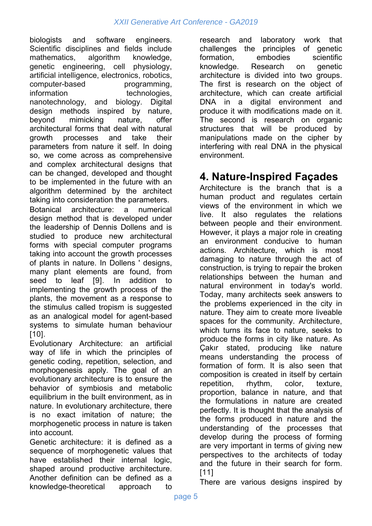biologists and software engineers. Scientific disciplines and fields include mathematics, algorithm knowledge, genetic engineering, cell physiology, artificial intelligence, electronics, robotics, computer-based programming, information technologies, nanotechnology, and biology. Digital design methods inspired by nature, beyond mimicking nature, offer architectural forms that deal with natural growth processes and take their parameters from nature it self. In doing so, we come across as comprehensive and complex architectural designs that can be changed, developed and thought to be implemented in the future with an algorithm determined by the architect taking into consideration the parameters. Botanical architecture: a numerical design method that is developed under the leadership of Dennis Dollens and is studied to produce new architectural forms with special computer programs taking into account the growth processes of plants in nature. In Dollens ' designs, many plant elements are found, from seed to leaf [9]. In addition to implementing the growth process of the plants, the movement as a response to the stimulus called tropism is suggested as an analogical model for agent-based systems to simulate human behaviour [10].

Evolutionary Architecture: an artificial way of life in which the principles of genetic coding, repetition, selection, and morphogenesis apply. The goal of an evolutionary architecture is to ensure the behavior of symbiosis and metabolic equilibrium in the built environment, as in nature. In evolutionary architecture, there is no exact imitation of nature; the morphogenetic process in nature is taken into account.

Genetic architecture: it is defined as a sequence of morphogenetic values that have established their internal logic, shaped around productive architecture. Another definition can be defined as a knowledge-theoretical approach to

research and laboratory work that challenges the principles of genetic formation, embodies scientific knowledge. Research on genetic architecture is divided into two groups. The first is research on the object of architecture, which can create artificial DNA in a digital environment and produce it with modifications made on it. The second is research on organic structures that will be produced by manipulations made on the cipher by interfering with real DNA in the physical environment.

# **4. Nature-Inspired Façades**

Architecture is the branch that is a human product and regulates certain views of the environment in which we live. It also regulates the relations between people and their environment. However, it plays a major role in creating an environment conducive to human actions. Architecture, which is most damaging to nature through the act of construction, is trying to repair the broken relationships between the human and natural environment in today's world. Today, many architects seek answers to the problems experienced in the city in nature. They aim to create more liveable spaces for the community. Architecture, which turns its face to nature, seeks to produce the forms in city like nature. As Çakır stated, producing like nature means understanding the process of formation of form. It is also seen that composition is created in itself by certain repetition, rhythm, color, texture, proportion, balance in nature, and that the formulations in nature are created perfectly. It is thought that the analysis of the forms produced in nature and the understanding of the processes that develop during the process of forming are very important in terms of giving new perspectives to the architects of today and the future in their search for form. [11]

There are various designs inspired by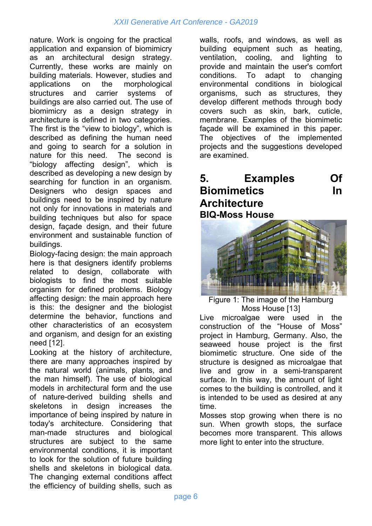nature. Work is ongoing for the practical application and expansion of biomimicry as an architectural design strategy. Currently, these works are mainly on building materials. However, studies and applications on the morphological structures and carrier systems of buildings are also carried out. The use of biomimicry as a design strategy in architecture is defined in two categories. The first is the "view to biology", which is described as defining the human need and going to search for a solution in nature for this need. The second is "biology affecting design", which is described as developing a new design by searching for function in an organism. Designers who design spaces and buildings need to be inspired by nature not only for innovations in materials and building techniques but also for space design, façade design, and their future environment and sustainable function of buildings.

Biology-facing design: the main approach here is that designers identify problems related to design, collaborate with biologists to find the most suitable organism for defined problems. Biology affecting design: the main approach here is this: the designer and the biologist determine the behavior, functions and other characteristics of an ecosystem and organism, and design for an existing need [12].

Looking at the history of architecture, there are many approaches inspired by the natural world (animals, plants, and the man himself). The use of biological models in architectural form and the use of nature-derived building shells and skeletons in design increases the importance of being inspired by nature in today's architecture. Considering that man-made structures and biological structures are subject to the same environmental conditions, it is important to look for the solution of future building shells and skeletons in biological data. The changing external conditions affect the efficiency of building shells, such as walls, roofs, and windows, as well as building equipment such as heating, ventilation, cooling, and lighting to provide and maintain the user's comfort conditions. To adapt to changing environmental conditions in biological organisms, such as structures, they develop different methods through body covers such as skin, bark, cuticle, membrane. Examples of the biomimetic façade will be examined in this paper. The objectives of the implemented projects and the suggestions developed are examined.

### **5. Examples Of Biomimetics In Architecture BIQ-Moss House**



Figure 1: The image of the Hamburg Moss House [13]

Live microalgae were used in the construction of the "House of Moss" project in Hamburg, Germany. Also, the seaweed house project is the first biomimetic structure. One side of the structure is designed as microalgae that live and grow in a semi-transparent surface. In this way, the amount of light comes to the building is controlled, and it is intended to be used as desired at any time.

Mosses stop growing when there is no sun. When growth stops, the surface becomes more transparent. This allows more light to enter into the structure.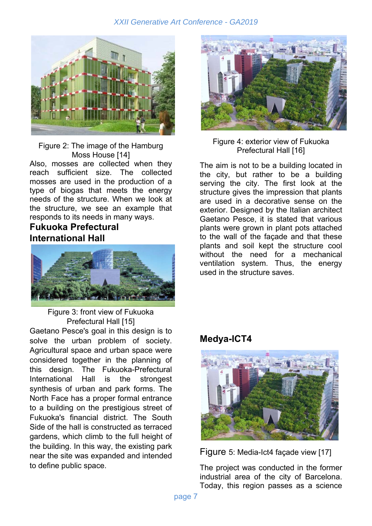#### *XXII Generative Art Conference - GA2019*



Figure 2: The image of the Hamburg Moss House [14] Also, mosses are collected when they reach sufficient size. The collected mosses are used in the production of a type of biogas that meets the energy needs of the structure. When we look at the structure, we see an example that responds to its needs in many ways.

#### **Fukuoka Prefectural International Hall**



Figure 3: front view of Fukuoka Prefectural Hall [15]

Gaetano Pesce's goal in this design is to solve the urban problem of society. Agricultural space and urban space were considered together in the planning of this design. The Fukuoka-Prefectural International Hall is the strongest synthesis of urban and park forms. The North Face has a proper formal entrance to a building on the prestigious street of Fukuoka's financial district. The South Side of the hall is constructed as terraced gardens, which climb to the full height of the building. In this way, the existing park near the site was expanded and intended to define public space.



Figure 4: exterior view of Fukuoka Prefectural Hall [16]

The aim is not to be a building located in the city, but rather to be a building serving the city. The first look at the structure gives the impression that plants are used in a decorative sense on the exterior. Designed by the Italian architect Gaetano Pesce, it is stated that various plants were grown in plant pots attached to the wall of the façade and that these plants and soil kept the structure cool without the need for a mechanical ventilation system. Thus, the energy used in the structure saves.

#### **Medya-ICT4**



Figure 5: Media-Ict4 façade view [17]

The project was conducted in the former industrial area of the city of Barcelona. Today, this region passes as a science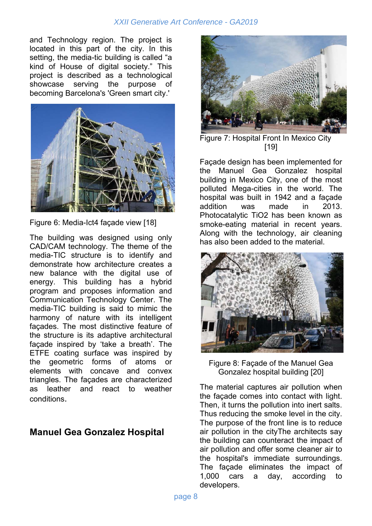#### *XXII Generative Art Conference - GA2019*

and Technology region. The project is located in this part of the city. In this setting, the media-tic building is called "a kind of House of digital society." This project is described as a technological showcase serving the purpose of becoming Barcelona's 'Green smart city.'



Figure 6: Media-Ict4 façade view [18]

The building was designed using only CAD/CAM technology. The theme of the media-TIC structure is to identify and demonstrate how architecture creates a new balance with the digital use of energy. This building has a hybrid program and proposes information and Communication Technology Center. The media-TIC building is said to mimic the harmony of nature with its intelligent façades. The most distinctive feature of the structure is its adaptive architectural façade inspired by 'take a breath'. The ETFE coating surface was inspired by the geometric forms of atoms or elements with concave and convex triangles. The façades are characterized as leather and react to weather conditions.

### **Manuel Gea Gonzalez Hospital**



Figure 7: Hospital Front In Mexico City [19]

Façade design has been implemented for the Manuel Gea Gonzalez hospital building in Mexico City, one of the most polluted Mega-cities in the world. The hospital was built in 1942 and a façade addition was made in 2013. Photocatalytic TiO2 has been known as smoke-eating material in recent years. Along with the technology, air cleaning has also been added to the material.



Figure 8: Façade of the Manuel Gea Gonzalez hospital building [20]

The material captures air pollution when the façade comes into contact with light. Then, it turns the pollution into inert salts. Thus reducing the smoke level in the city. The purpose of the front line is to reduce air pollution in the cityThe architects say the building can counteract the impact of air pollution and offer some cleaner air to the hospital's immediate surroundings. The façade eliminates the impact of 1,000 cars a day, according to developers.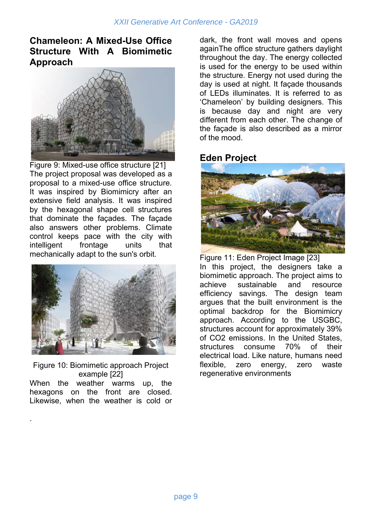### **Chameleon: A Mixed-Use Office Structure With A Biomimetic Approach**



Figure 9: Mixed-use office structure [21] The project proposal was developed as a proposal to a mixed-use office structure. It was inspired by Biomimicry after an extensive field analysis. It was inspired by the hexagonal shape cell structures that dominate the façades. The façade also answers other problems. Climate control keeps pace with the city with intelligent frontage units that mechanically adapt to the sun's orbit.



Figure 10: Biomimetic approach Project example [22] When the weather warms up, the

hexagons on the front are closed. Likewise, when the weather is cold or

.

dark, the front wall moves and opens againThe office structure gathers daylight throughout the day. The energy collected is used for the energy to be used within the structure. Energy not used during the day is used at night. It façade thousands of LEDs illuminates. It is referred to as 'Chameleon' by building designers. This is because day and night are very different from each other. The change of the façade is also described as a mirror of the mood.

#### **Eden Project**



Figure 11: Eden Project Image [23] In this project, the designers take a biomimetic approach. The project aims to achieve sustainable and resource efficiency savings. The design team argues that the built environment is the optimal backdrop for the Biomimicry approach. According to the USGBC, structures account for approximately 39% of CO2 emissions. In the United States, structures consume 70% of their electrical load. Like nature, humans need flexible, zero energy, zero waste regenerative environments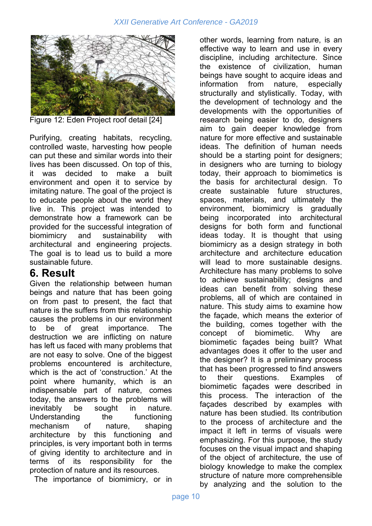

Figure 12: Eden Project roof detail [24]

Purifying, creating habitats, recycling, controlled waste, harvesting how people can put these and similar words into their lives has been discussed. On top of this, it was decided to make a built environment and open it to service by imitating nature. The goal of the project is to educate people about the world they live in. This project was intended to demonstrate how a framework can be provided for the successful integration of biomimicry and sustainability with architectural and engineering projects. The goal is to lead us to build a more sustainable future.

### **6. Result**

Given the relationship between human beings and nature that has been going on from past to present, the fact that nature is the suffers from this relationship causes the problems in our environment to be of great importance. The destruction we are inflicting on nature has left us faced with many problems that are not easy to solve. One of the biggest problems encountered is architecture, which is the act of 'construction.' At the point where humanity, which is an indispensable part of nature, comes today, the answers to the problems will inevitably be sought in nature. Understanding the functioning mechanism of nature, shaping architecture by this functioning and principles, is very important both in terms of giving identity to architecture and in terms of its responsibility for the protection of nature and its resources.

The importance of biomimicry, or in

other words, learning from nature, is an effective way to learn and use in every discipline, including architecture. Since the existence of civilization, human beings have sought to acquire ideas and information from nature, especially structurally and stylistically. Today, with the development of technology and the developments with the opportunities of research being easier to do, designers aim to gain deeper knowledge from nature for more effective and sustainable ideas. The definition of human needs should be a starting point for designers; in designers who are turning to biology today, their approach to biomimetics is the basis for architectural design. To create sustainable future structures, spaces, materials, and ultimately the environment, biomimicry is gradually being incorporated into architectural designs for both form and functional ideas today. It is thought that using biomimicry as a design strategy in both architecture and architecture education will lead to more sustainable designs. Architecture has many problems to solve to achieve sustainability; designs and ideas can benefit from solving these problems, all of which are contained in nature. This study aims to examine how the façade, which means the exterior of the building, comes together with the concept of biomimetic. Why are biomimetic façades being built? What advantages does it offer to the user and the designer? It is a preliminary process that has been progressed to find answers to their questions. Examples of biomimetic façades were described in this process. The interaction of the façades described by examples with nature has been studied. Its contribution to the process of architecture and the impact it left in terms of visuals were emphasizing. For this purpose, the study focuses on the visual impact and shaping of the object of architecture, the use of biology knowledge to make the complex structure of nature more comprehensible by analyzing and the solution to the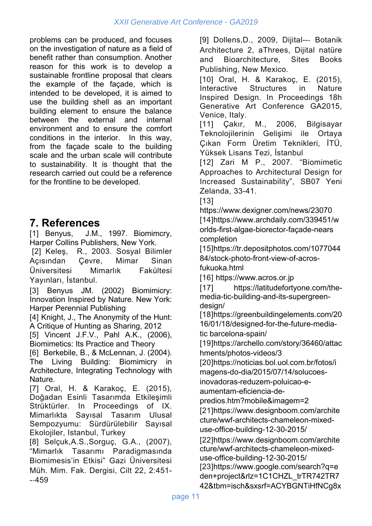problems can be produced, and focuses on the investigation of nature as a field of benefit rather than consumption. Another reason for this work is to develop a sustainable frontline proposal that clears the example of the façade, which is intended to be developed, it is aimed to use the building shell as an important building element to ensure the balance between the external and internal environment and to ensure the comfort conditions in the interior. In this way, from the façade scale to the building scale and the urban scale will contribute to sustainability. It is thought that the research carried out could be a reference for the frontline to be developed.

# **7. References**

[1] Benyus, J.M., 1997. Biomimcry, Harper Collins Publishers, New York.

 [2] Keleş, R., 2003. Sosyal Bilimler Açısından Çevre, Mimar Sinan Üniversitesi Mimarlık Fakültesi Yayınları, İstanbul.

[3] Benyus JM. (2002) Biomimicry: Innovation Inspired by Nature. New York: Harper Perennial Publishing

[4] Knight, J., The Anonymity of the Hunt: A Critique of Hunting as Sharing, 2012

[5] Vincent J.F.V., Pahl A.K., (2006), Biomimetics: Its Practice and Theory

[6] Berkebile, B., & McLennan, J. (2004). The Living Building: Biomimicry in Architecture, Integrating Technology with Nature.

[7] Oral, H. & Karakoç, E. (2015), Doğadan Esinli Tasarımda Etkileşimli Strüktürler. In Proceedings of IX. Mimarlıkta Sayısal Tasarım Ulusal Sempozyumu: Sürdürülebilir Sayısal Ekolojiler, Istanbul, Turkey

[8] Selçuk,A.S.,Sorguç, G.A., (2007), "Mimarlık Tasarımı Paradigmasında Biomimesis'in Etkisi" Gazi Üniversitesi Müh. Mim. Fak. Dergisi, Cilt 22, 2:451- -‐459

[9] Dollens,D., 2009, Dijital--‐ Botanik Architecture 2, aThrees, Dijital natüre and Bioarchitecture, Sites Books Publishing, New Mexico.

[10] Oral, H. & Karakoç, E. (2015), Interactive Structures in Nature Inspired Design. In Proceedings 18h Generative Art Conference GA2015, Venice, Italy.

[11] Çakır, M., 2006, Bilgisayar Teknolojilerinin Gelişimi ile Ortaya Çıkan Form Üretim Teknikleri, İTÜ, Yüksek Lisans Tezi, İstanbul

[12] Zari M P., 2007. "Biomimetic Approaches to Architectural Design for Increased Sustainability", SB07 Yeni Zelanda, 33-41.

[13]

https://www.dexigner.com/news/23070 [14]https://www.archdaily.com/339451/w orlds-first-algae-biorector-façade-nears completion

[15]https://tr.depositphotos.com/1077044 84/stock-photo-front-view-of-acrosfukuoka.html

[16] https://www.acros.or.jp

[17] https://latitudefortyone.com/themedia-tic-building-and-its-supergreendesign/

[18]https://greenbuildingelements.com/20 16/01/18/designed-for-the-future-mediatic barcelona-spain/

[19]https://archello.com/story/36460/attac hments/photos-videos/3

[20]https://noticias.bol.uol.com.br/fotos/i magens-do-dia/2015/07/14/solucoesinovadoras-reduzem-poluicao-e-

aumentam-eficiencia-de-

predios.htm?mobile&imagem=2

[21]https://www.designboom.com/archite cture/wwf-architects-chameleon-mixeduse-office-building-12-30-2015/

[22]https://www.designboom.com/archite cture/wwf-architects-chameleon-mixeduse-office-building-12-30-2015/ [23]https://www.google.com/search?q=e

den+project&rlz=1C1CHZL\_trTR742TR7 42&tbm=isch&sxsrf=ACYBGNTiHfNCg8x